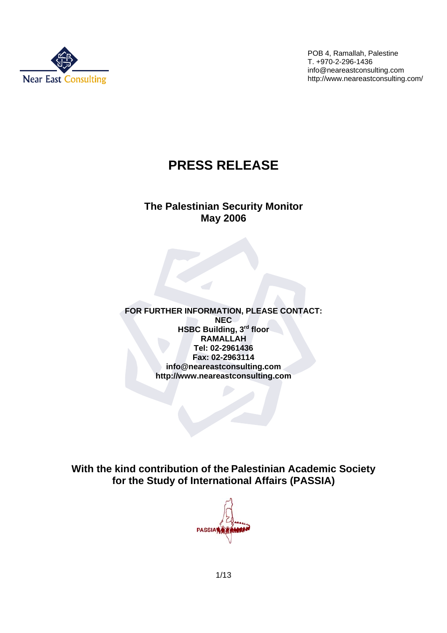

# **PRESS RELEASE**

### **The Palestinian Security Monitor May 2006**

**FOR FURTHER INFORMATION, PLEASE CONTACT: NEC HSBC Building, 3rd floor RAMALLAH Tel: 02-2961436 Fax: 02-2963114 info@neareastconsulting.com http://www.neareastconsulting.com**

**With the kind contribution of the Palestinian Academic Society for the Study of International Affairs (PASSIA)** 

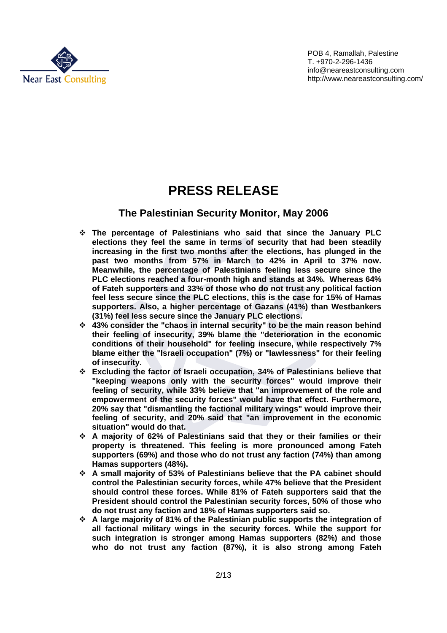

## **PRESS RELEASE**

### **The Palestinian Security Monitor, May 2006**

- **The percentage of Palestinians who said that since the January PLC elections they feel the same in terms of security that had been steadily increasing in the first two months after the elections, has plunged in the past two months from 57% in March to 42% in April to 37% now. Meanwhile, the percentage of Palestinians feeling less secure since the PLC elections reached a four-month high and stands at 34%. Whereas 64% of Fateh supporters and 33% of those who do not trust any political faction feel less secure since the PLC elections, this is the case for 15% of Hamas supporters. Also, a higher percentage of Gazans (41%) than Westbankers (31%) feel less secure since the January PLC elections.**
- **43% consider the "chaos in internal security" to be the main reason behind their feeling of insecurity, 39% blame the "deterioration in the economic conditions of their household" for feeling insecure, while respectively 7% blame either the "Israeli occupation" (7%) or "lawlessness" for their feeling of insecurity.**
- **Excluding the factor of Israeli occupation, 34% of Palestinians believe that "keeping weapons only with the security forces" would improve their feeling of security, while 33% believe that "an improvement of the role and empowerment of the security forces" would have that effect. Furthermore, 20% say that "dismantling the factional military wings" would improve their feeling of security, and 20% said that "an improvement in the economic situation" would do that.**
- **A majority of 62% of Palestinians said that they or their families or their property is threatened. This feeling is more pronounced among Fateh supporters (69%) and those who do not trust any faction (74%) than among Hamas supporters (48%).**
- **A small majority of 53% of Palestinians believe that the PA cabinet should control the Palestinian security forces, while 47% believe that the President should control these forces. While 81% of Fateh supporters said that the President should control the Palestinian security forces, 50% of those who do not trust any faction and 18% of Hamas supporters said so.**
- **A large majority of 81% of the Palestinian public supports the integration of all factional military wings in the security forces. While the support for such integration is stronger among Hamas supporters (82%) and those who do not trust any faction (87%), it is also strong among Fateh**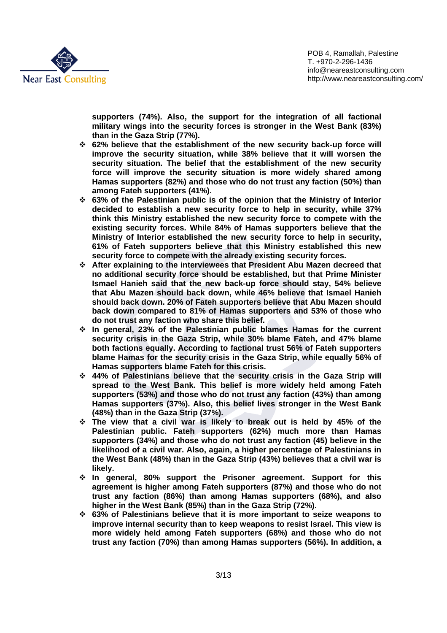

**supporters (74%). Also, the support for the integration of all factional military wings into the security forces is stronger in the West Bank (83%) than in the Gaza Strip (77%).** 

- **62% believe that the establishment of the new security back-up force will improve the security situation, while 38% believe that it will worsen the security situation. The belief that the establishment of the new security force will improve the security situation is more widely shared among Hamas supporters (82%) and those who do not trust any faction (50%) than among Fateh supporters (41%).**
- **63% of the Palestinian public is of the opinion that the Ministry of Interior decided to establish a new security force to help in security, while 37% think this Ministry established the new security force to compete with the existing security forces. While 84% of Hamas supporters believe that the Ministry of Interior established the new security force to help in security, 61% of Fateh supporters believe that this Ministry established this new security force to compete with the already existing security forces.**
- **After explaining to the interviewees that President Abu Mazen decreed that no additional security force should be established, but that Prime Minister Ismael Hanieh said that the new back-up force should stay, 54% believe that Abu Mazen should back down, while 46% believe that Ismael Hanieh should back down. 20% of Fateh supporters believe that Abu Mazen should back down compared to 81% of Hamas supporters and 53% of those who do not trust any faction who share this belief.**
- **In general, 23% of the Palestinian public blames Hamas for the current security crisis in the Gaza Strip, while 30% blame Fateh, and 47% blame both factions equally. According to factional trust 56% of Fateh supporters blame Hamas for the security crisis in the Gaza Strip, while equally 56% of Hamas supporters blame Fateh for this crisis.**
- **44% of Palestinians believe that the security crisis in the Gaza Strip will spread to the West Bank. This belief is more widely held among Fateh supporters (53%) and those who do not trust any faction (43%) than among Hamas supporters (37%). Also, this belief lives stronger in the West Bank (48%) than in the Gaza Strip (37%).**
- **The view that a civil war is likely to break out is held by 45% of the Palestinian public. Fateh supporters (62%) much more than Hamas supporters (34%) and those who do not trust any faction (45) believe in the likelihood of a civil war. Also, again, a higher percentage of Palestinians in the West Bank (48%) than in the Gaza Strip (43%) believes that a civil war is likely.**
- **In general, 80% support the Prisoner agreement. Support for this agreement is higher among Fateh supporters (87%) and those who do not trust any faction (86%) than among Hamas supporters (68%), and also higher in the West Bank (85%) than in the Gaza Strip (72%).**
- **63% of Palestinians believe that it is more important to seize weapons to improve internal security than to keep weapons to resist Israel. This view is more widely held among Fateh supporters (68%) and those who do not trust any faction (70%) than among Hamas supporters (56%). In addition, a**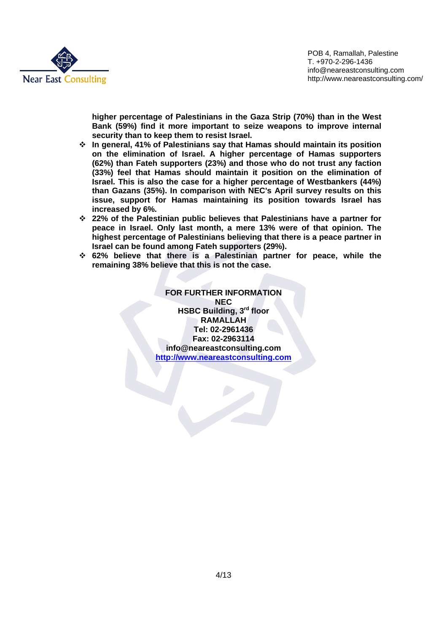

**higher percentage of Palestinians in the Gaza Strip (70%) than in the West Bank (59%) find it more important to seize weapons to improve internal security than to keep them to resist Israel.** 

- **In general, 41% of Palestinians say that Hamas should maintain its position on the elimination of Israel. A higher percentage of Hamas supporters (62%) than Fateh supporters (23%) and those who do not trust any faction (33%) feel that Hamas should maintain it position on the elimination of Israel. This is also the case for a higher percentage of Westbankers (44%) than Gazans (35%). In comparison with NEC's April survey results on this issue, support for Hamas maintaining its position towards Israel has increased by 6%.**
- **22% of the Palestinian public believes that Palestinians have a partner for peace in Israel. Only last month, a mere 13% were of that opinion. The highest percentage of Palestinians believing that there is a peace partner in Israel can be found among Fateh supporters (29%).**
- **62% believe that there is a Palestinian partner for peace, while the remaining 38% believe that this is not the case.**

**FOR FURTHER INFORMATION NEC HSBC Building, 3rd floor RAMALLAH Tel: 02-2961436 Fax: 02-2963114 info@neareastconsulting.com http://www.neareastconsulting.com**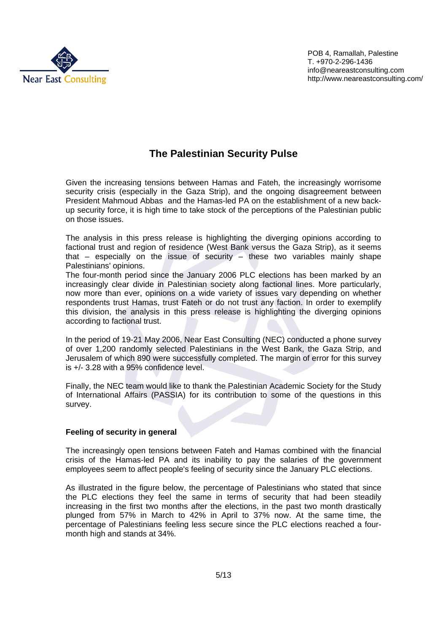

## **The Palestinian Security Pulse**

Given the increasing tensions between Hamas and Fateh, the increasingly worrisome security crisis (especially in the Gaza Strip), and the ongoing disagreement between President Mahmoud Abbas and the Hamas-led PA on the establishment of a new backup security force, it is high time to take stock of the perceptions of the Palestinian public on those issues.

The analysis in this press release is highlighting the diverging opinions according to factional trust and region of residence (West Bank versus the Gaza Strip), as it seems that  $-$  especially on the issue of security  $-$  these two variables mainly shape Palestinians' opinions.

The four-month period since the January 2006 PLC elections has been marked by an increasingly clear divide in Palestinian society along factional lines. More particularly, now more than ever, opinions on a wide variety of issues vary depending on whether respondents trust Hamas, trust Fateh or do not trust any faction. In order to exemplify this division, the analysis in this press release is highlighting the diverging opinions according to factional trust.

In the period of 19-21 May 2006, Near East Consulting (NEC) conducted a phone survey of over 1,200 randomly selected Palestinians in the West Bank, the Gaza Strip, and Jerusalem of which 890 were successfully completed. The margin of error for this survey is +/- 3.28 with a 95% confidence level.

Finally, the NEC team would like to thank the Palestinian Academic Society for the Study of International Affairs (PASSIA) for its contribution to some of the questions in this survey.

### **Feeling of security in general**

The increasingly open tensions between Fateh and Hamas combined with the financial crisis of the Hamas-led PA and its inability to pay the salaries of the government employees seem to affect people's feeling of security since the January PLC elections.

As illustrated in the figure below, the percentage of Palestinians who stated that since the PLC elections they feel the same in terms of security that had been steadily increasing in the first two months after the elections, in the past two month drastically plunged from 57% in March to 42% in April to 37% now. At the same time, the percentage of Palestinians feeling less secure since the PLC elections reached a fourmonth high and stands at 34%.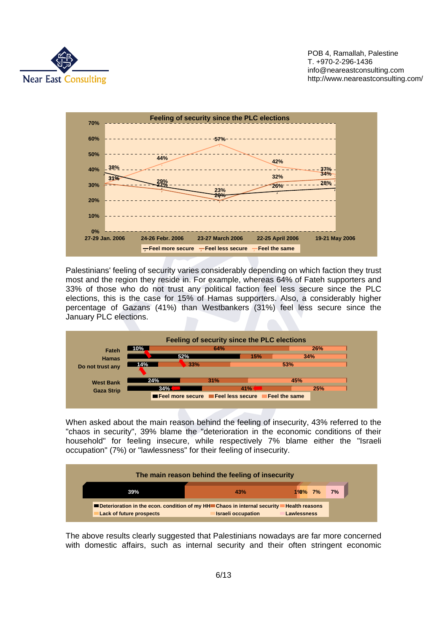



Palestinians' feeling of security varies considerably depending on which faction they trust most and the region they reside in. For example, whereas 64% of Fateh supporters and 33% of those who do not trust any political faction feel less secure since the PLC elections, this is the case for 15% of Hamas supporters. Also, a considerably higher percentage of Gazans (41%) than Westbankers (31%) feel less secure since the January PLC elections.



When asked about the main reason behind the feeling of insecurity, 43% referred to the "chaos in security", 39% blame the "deterioration in the economic conditions of their household" for feeling insecure, while respectively 7% blame either the "Israeli occupation" (7%) or "lawlessness" for their feeling of insecurity.



The above results clearly suggested that Palestinians nowadays are far more concerned with domestic affairs, such as internal security and their often stringent economic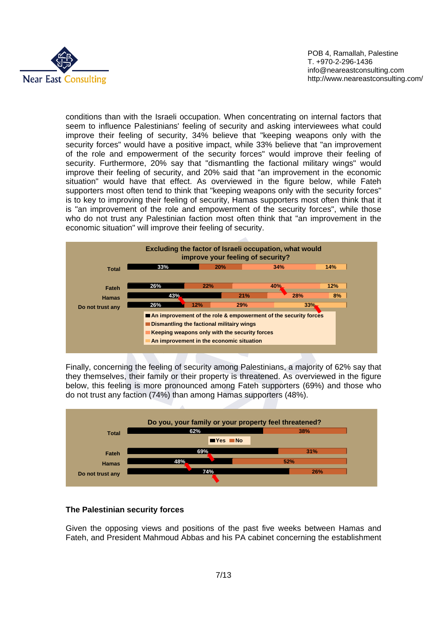

conditions than with the Israeli occupation. When concentrating on internal factors that seem to influence Palestinians' feeling of security and asking interviewees what could improve their feeling of security, 34% believe that "keeping weapons only with the security forces" would have a positive impact, while 33% believe that "an improvement of the role and empowerment of the security forces" would improve their feeling of security. Furthermore, 20% say that "dismantling the factional military wings" would improve their feeling of security, and 20% said that "an improvement in the economic situation" would have that effect. As overviewed in the figure below, while Fateh supporters most often tend to think that "keeping weapons only with the security forces" is to key to improving their feeling of security, Hamas supporters most often think that it is "an improvement of the role and empowerment of the security forces", while those who do not trust any Palestinian faction most often think that "an improvement in the economic situation" will improve their feeling of security.



Finally, concerning the feeling of security among Palestinians, a majority of 62% say that they themselves, their family or their property is threatened. As overviewed in the figure below, this feeling is more pronounced among Fateh supporters (69%) and those who do not trust any faction (74%) than among Hamas supporters (48%).



#### **The Palestinian security forces**

Given the opposing views and positions of the past five weeks between Hamas and Fateh, and President Mahmoud Abbas and his PA cabinet concerning the establishment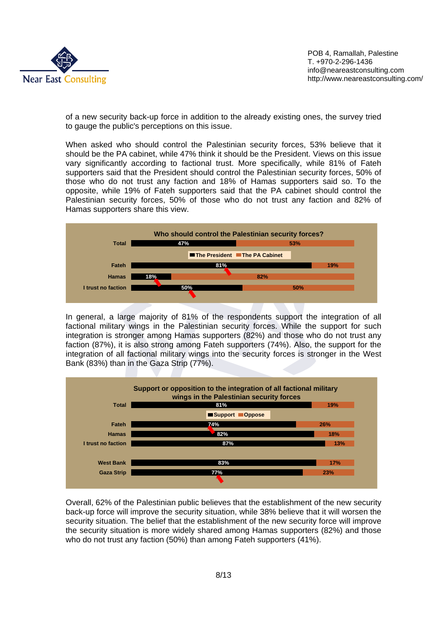

of a new security back-up force in addition to the already existing ones, the survey tried to gauge the public's perceptions on this issue.

When asked who should control the Palestinian security forces, 53% believe that it should be the PA cabinet, while 47% think it should be the President. Views on this issue vary significantly according to factional trust. More specifically, while 81% of Fateh supporters said that the President should control the Palestinian security forces, 50% of those who do not trust any faction and 18% of Hamas supporters said so. To the opposite, while 19% of Fateh supporters said that the PA cabinet should control the Palestinian security forces, 50% of those who do not trust any faction and 82% of Hamas supporters share this view.



In general, a large majority of 81% of the respondents support the integration of all factional military wings in the Palestinian security forces. While the support for such integration is stronger among Hamas supporters (82%) and those who do not trust any faction (87%), it is also strong among Fateh supporters (74%). Also, the support for the integration of all factional military wings into the security forces is stronger in the West Bank (83%) than in the Gaza Strip (77%).



Overall, 62% of the Palestinian public believes that the establishment of the new security back-up force will improve the security situation, while 38% believe that it will worsen the security situation. The belief that the establishment of the new security force will improve the security situation is more widely shared among Hamas supporters (82%) and those who do not trust any faction (50%) than among Fateh supporters (41%).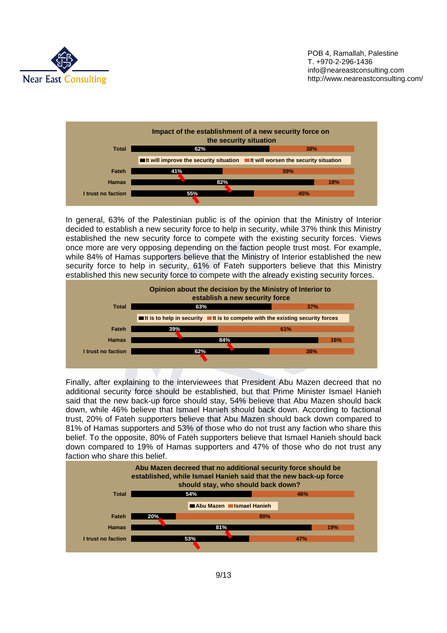



In general, 63% of the Palestinian public is of the opinion that the Ministry of Interior decided to establish a new security force to help in security, while 37% think this Ministry established the new security force to compete with the existing security forces. Views once more are very opposing depending on the faction people trust most. For example, while 84% of Hamas supporters believe that the Ministry of Interior established the new security force to help in security, 61% of Fateh supporters believe that this Ministry established this new security force to compete with the already existing security forces.



Finally, after explaining to the interviewees that President Abu Mazen decreed that no additional security force should be established, but that Prime Minister Ismael Hanieh said that the new back-up force should stay, 54% believe that Abu Mazen should back down, while 46% believe that Ismael Hanieh should back down. According to factional trust, 20% of Fateh supporters believe that Abu Mazen should back down compared to 81% of Hamas supporters and 53% of those who do not trust any faction who share this belief. To the opposite, 80% of Fateh supporters believe that Ismael Hanieh should back down compared to 19% of Hamas supporters and 47% of those who do not trust any faction who share this belief.

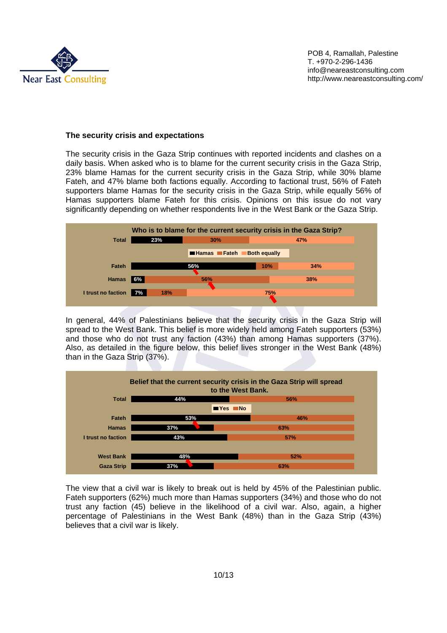

### **The security crisis and expectations**

The security crisis in the Gaza Strip continues with reported incidents and clashes on a daily basis. When asked who is to blame for the current security crisis in the Gaza Strip, 23% blame Hamas for the current security crisis in the Gaza Strip, while 30% blame Fateh, and 47% blame both factions equally. According to factional trust, 56% of Fateh supporters blame Hamas for the security crisis in the Gaza Strip, while equally 56% of Hamas supporters blame Fateh for this crisis. Opinions on this issue do not vary significantly depending on whether respondents live in the West Bank or the Gaza Strip.



In general, 44% of Palestinians believe that the security crisis in the Gaza Strip will spread to the West Bank. This belief is more widely held among Fateh supporters (53%) and those who do not trust any faction (43%) than among Hamas supporters (37%). Also, as detailed in the figure below, this belief lives stronger in the West Bank (48%) than in the Gaza Strip (37%).



The view that a civil war is likely to break out is held by 45% of the Palestinian public. Fateh supporters (62%) much more than Hamas supporters (34%) and those who do not trust any faction (45) believe in the likelihood of a civil war. Also, again, a higher percentage of Palestinians in the West Bank (48%) than in the Gaza Strip (43%) believes that a civil war is likely.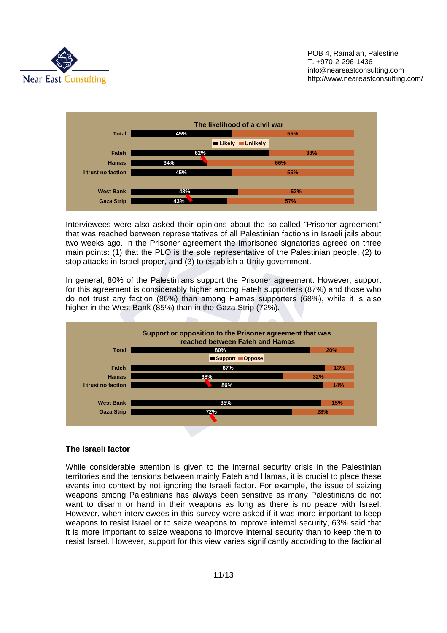



Interviewees were also asked their opinions about the so-called "Prisoner agreement" that was reached between representatives of all Palestinian factions in Israeli jails about two weeks ago. In the Prisoner agreement the imprisoned signatories agreed on three main points: (1) that the PLO is the sole representative of the Palestinian people, (2) to stop attacks in Israel proper, and (3) to establish a Unity government.

In general, 80% of the Palestinians support the Prisoner agreement. However, support for this agreement is considerably higher among Fateh supporters (87%) and those who do not trust any faction (86%) than among Hamas supporters (68%), while it is also higher in the West Bank (85%) than in the Gaza Strip (72%).



#### **The Israeli factor**

While considerable attention is given to the internal security crisis in the Palestinian territories and the tensions between mainly Fateh and Hamas, it is crucial to place these events into context by not ignoring the Israeli factor. For example, the issue of seizing weapons among Palestinians has always been sensitive as many Palestinians do not want to disarm or hand in their weapons as long as there is no peace with Israel. However, when interviewees in this survey were asked if it was more important to keep weapons to resist Israel or to seize weapons to improve internal security, 63% said that it is more important to seize weapons to improve internal security than to keep them to resist Israel. However, support for this view varies significantly according to the factional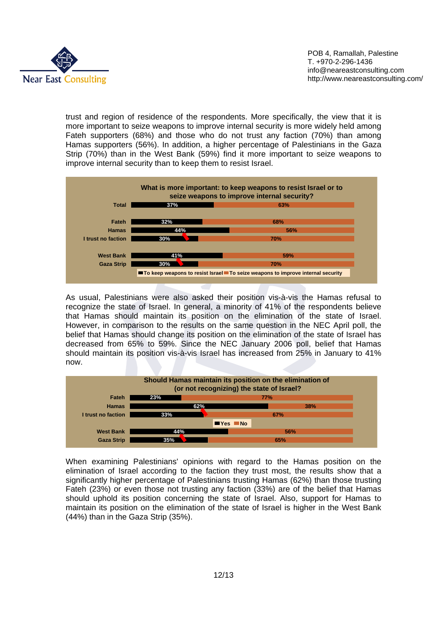

trust and region of residence of the respondents. More specifically, the view that it is more important to seize weapons to improve internal security is more widely held among Fateh supporters (68%) and those who do not trust any faction (70%) than among Hamas supporters (56%). In addition, a higher percentage of Palestinians in the Gaza Strip (70%) than in the West Bank (59%) find it more important to seize weapons to improve internal security than to keep them to resist Israel.



As usual, Palestinians were also asked their position vis-à-vis the Hamas refusal to recognize the state of Israel. In general, a minority of 41% of the respondents believe that Hamas should maintain its position on the elimination of the state of Israel. However, in comparison to the results on the same question in the NEC April poll, the belief that Hamas should change its position on the elimination of the state of Israel has decreased from 65% to 59%. Since the NEC January 2006 poll, belief that Hamas should maintain its position vis-à-vis Israel has increased from 25% in January to 41% now.



When examining Palestinians' opinions with regard to the Hamas position on the elimination of Israel according to the faction they trust most, the results show that a significantly higher percentage of Palestinians trusting Hamas (62%) than those trusting Fateh (23%) or even those not trusting any faction (33%) are of the belief that Hamas should uphold its position concerning the state of Israel. Also, support for Hamas to maintain its position on the elimination of the state of Israel is higher in the West Bank (44%) than in the Gaza Strip (35%).